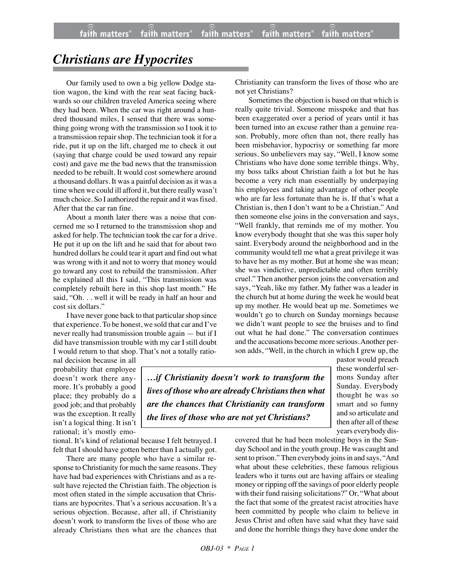## *Christians are Hypocrites*

Our family used to own a big yellow Dodge station wagon, the kind with the rear seat facing backwards so our children traveled America seeing where they had been. When the car was right around a hundred thousand miles, I sensed that there was something going wrong with the transmission so I took it to a transmission repair shop. The technician took it for a ride, put it up on the lift, charged me to check it out (saying that charge could be used toward any repair cost) and gave me the bad news that the transmission needed to be rebuilt. It would cost somewhere around a thousand dollars. It was a painful decision as it was a time when we could ill afford it, but there really wasn't much choice. So I authorized the repair and it was fixed. After that the car ran fine.

About a month later there was a noise that concerned me so I returned to the transmission shop and asked for help. The technician took the car for a drive. He put it up on the lift and he said that for about two hundred dollars he could tear it apart and find out what was wrong with it and not to worry that money would go toward any cost to rebuild the transmission. After he explained all this I said, "This transmission was completely rebuilt here in this shop last month." He said, "Oh. . . well it will be ready in half an hour and cost six dollars."

I have never gone back to that particular shop since that experience. To be honest, we sold that car and I've never really had transmission trouble again — but if I did have transmission trouble with my car I still doubt I would return to that shop. That's not a totally ratioChristianity can transform the lives of those who are not yet Christians?

Sometimes the objection is based on that which is really quite trivial. Someone misspoke and that has been exaggerated over a period of years until it has been turned into an excuse rather than a genuine reason. Probably, more often than not, there really has been misbehavior, hypocrisy or something far more serious. So unbelievers may say, "Well, I know some Christians who have done some terrible things. Why, my boss talks about Christian faith a lot but he has become a very rich man essentially by underpaying his employees and taking advantage of other people who are far less fortunate than he is. If that's what a Christian is, then I don't want to be a Christian." And then someone else joins in the conversation and says, "Well frankly, that reminds me of my mother. You know everybody thought that she was this super holy saint. Everybody around the neighborhood and in the community would tell me what a great privilege it was to have her as my mother. But at home she was mean; she was vindictive, unpredictable and often terribly cruel." Then another person joins the conversation and says, "Yeah, like my father. My father was a leader in the church but at home during the week he would beat up my mother. He would beat up me. Sometimes we wouldn't go to church on Sunday mornings because we didn't want people to see the bruises and to find out what he had done." The conversation continues and the accusations become more serious.Another person adds, "Well, in the church in which I grew up, the

nal decision because in all probability that employee doesn't work there anymore. It's probably a good place; they probably do a good job; and that probably was the exception. It really isn't a logical thing. It isn't rational; it's mostly emo-

tional. It's kind of relational because I felt betrayed. I felt that I should have gotten better than I actually got.

There are many people who have a similar response to Christianity for much the same reasons. They have had bad experiences with Christians and as a result have rejected the Christian faith. The objection is most often stated in the simple accusation that Christians are hypocrites. That's a serious accusation. It's a serious objection. Because, after all, if Christianity doesn't work to transform the lives of those who are already Christians then what are the chances that

*…if Christianity doesn't work to transform the lives of those who are already Christians then what are the chances that Christianity can transform the lives of those who are not yet Christians?*

pastor would preach these wonderful sermons Sunday after Sunday. Everybody thought he was so smart and so funny and so articulate and then after all of these years everybody dis-

covered that he had been molesting boys in the Sunday School and in the youth group. He was caught and sent to prison." Then everybody joins in and says, "And what about these celebrities, these famous religious leaders who it turns out are having affairs or stealing money or ripping off the savings of poor elderly people with their fund raising solicitations?" Or, "What about the fact that some of the greatest racist atrocities have been committed by people who claim to believe in Jesus Christ and often have said what they have said and done the horrible things they have done under the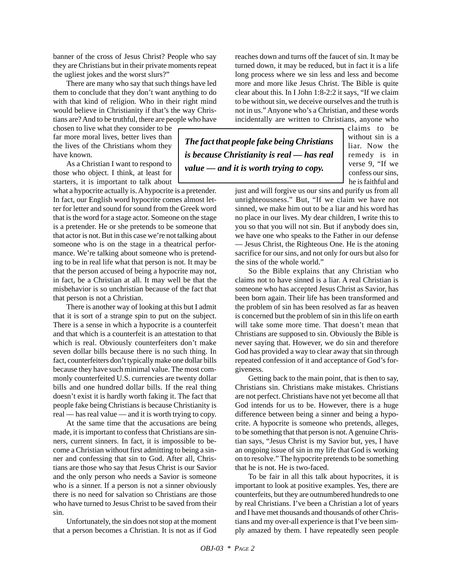banner of the cross of Jesus Christ? People who say they are Christians but in their private moments repeat the ugliest jokes and the worst slurs?"

There are many who say that such things have led them to conclude that they don't want anything to do with that kind of religion. Who in their right mind would believe in Christianity if that's the way Christians are? And to be truthful, there are people who have

chosen to live what they consider to be far more moral lives, better lives than the lives of the Christians whom they have known.

As a Christian I want to respond to those who object. I think, at least for starters, it is important to talk about

what a hypocrite actually is. A hypocrite is a pretender. In fact, our English word hypocrite comes almost letter for letter and sound for sound from the Greek word that is the word for a stage actor. Someone on the stage is a pretender. He or she pretends to be someone that that actor is not. But in this case we're not talking about someone who is on the stage in a theatrical performance. We're talking about someone who is pretending to be in real life what that person is not. It may be that the person accused of being a hypocrite may not, in fact, be a Christian at all. It may well be that the misbehavior is so unchristian because of the fact that that person is not a Christian.

There is another way of looking at this but I admit that it is sort of a strange spin to put on the subject. There is a sense in which a hypocrite is a counterfeit and that which is a counterfeit is an attestation to that which is real. Obviously counterfeiters don't make seven dollar bills because there is no such thing. In fact, counterfeiters don't typically make one dollar bills because they have such minimal value. The most commonly counterfeited U.S. currencies are twenty dollar bills and one hundred dollar bills. If the real thing doesn't exist it is hardly worth faking it. The fact that people fake being Christians is because Christianity is real — has real value — and it is worth trying to copy.

At the same time that the accusations are being made, it is important to confess that Christians are sinners, current sinners. In fact, it is impossible to become a Christian without first admitting to being a sinner and confessing that sin to God. After all, Christians are those who say that Jesus Christ is our Savior and the only person who needs a Savior is someone who is a sinner. If a person is not a sinner obviously there is no need for salvation so Christians are those who have turned to Jesus Christ to be saved from their sin.

Unfortunately, the sin does not stop at the moment that a person becomes a Christian. It is not as if God reaches down and turns off the faucet of sin. It may be turned down, it may be reduced, but in fact it is a life long process where we sin less and less and become more and more like Jesus Christ. The Bible is quite clear about this. In I John 1:8-2:2 it says, "If we claim to be without sin, we deceive ourselves and the truth is not in us." Anyone who's a Christian, and these words incidentally are written to Christians, anyone who

*The fact that people fake being Christians is because Christianity is real — has real value — and it is worth trying to copy.*

claims to be without sin is a liar. Now the remedy is in verse 9, "If we confess our sins, he is faithful and

just and will forgive us our sins and purify us from all unrighteousness." But, "If we claim we have not sinned, we make him out to be a liar and his word has no place in our lives. My dear children, I write this to you so that you will not sin. But if anybody does sin, we have one who speaks to the Father in our defense — Jesus Christ, the Righteous One. He is the atoning sacrifice for our sins, and not only for ours but also for the sins of the whole world."

So the Bible explains that any Christian who claims not to have sinned is a liar. A real Christian is someone who has accepted Jesus Christ as Savior, has been born again. Their life has been transformed and the problem of sin has been resolved as far as heaven is concerned but the problem of sin in this life on earth will take some more time. That doesn't mean that Christians are supposed to sin. Obviously the Bible is never saying that. However, we do sin and therefore God has provided a way to clear away that sin through repeated confession of it and acceptance of God's forgiveness.

Getting back to the main point, that is then to say, Christians sin. Christians make mistakes. Christians are not perfect. Christians have not yet become all that God intends for us to be. However, there is a huge difference between being a sinner and being a hypocrite. A hypocrite is someone who pretends, alleges, to be something that that person is not. A genuine Christian says, "Jesus Christ is my Savior but, yes, I have an ongoing issue of sin in my life that God is working on to resolve." The hypocrite pretends to be something that he is not. He is two-faced.

To be fair in all this talk about hypocrites, it is important to look at positive examples. Yes, there are counterfeits, but they are outnumbered hundreds to one by real Christians. I've been a Christian a lot of years and I have met thousands and thousands of other Christians and my over-all experience is that I've been simply amazed by them. I have repeatedly seen people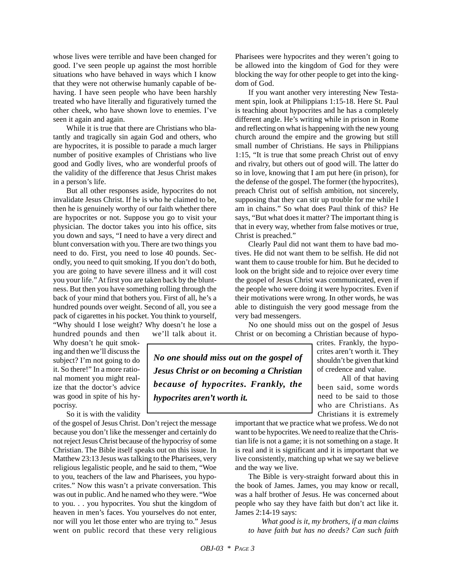whose lives were terrible and have been changed for good. I've seen people up against the most horrible situations who have behaved in ways which I know that they were not otherwise humanly capable of behaving. I have seen people who have been harshly treated who have literally and figuratively turned the other cheek, who have shown love to enemies. I've seen it again and again.

While it is true that there are Christians who blatantly and tragically sin again God and others, who are hypocrites, it is possible to parade a much larger number of positive examples of Christians who live good and Godly lives, who are wonderful proofs of the validity of the difference that Jesus Christ makes in a person's life.

But all other responses aside, hypocrites do not invalidate Jesus Christ. If he is who he claimed to be, then he is genuinely worthy of our faith whether there are hypocrites or not. Suppose you go to visit your physician. The doctor takes you into his office, sits you down and says, "I need to have a very direct and blunt conversation with you. There are two things you need to do. First, you need to lose 40 pounds. Secondly, you need to quit smoking. If you don't do both, you are going to have severe illness and it will cost you your life." At first you are taken back by the bluntness. But then you have something rolling through the back of your mind that bothers you. First of all, he's a hundred pounds over weight. Second of all, you see a pack of cigarettes in his pocket. You think to yourself, "Why should I lose weight? Why doesn't he lose a

hundred pounds and then we'll talk about it. Why doesn't he quit smoking and then we'll discuss the subject? I'm not going to do it. So there!" In a more rational moment you might realize that the doctor's advice was good in spite of his hy-

So it is with the validity

pocrisy.

of the gospel of Jesus Christ. Don't reject the message because you don't like the messenger and certainly do not reject Jesus Christ because of the hypocrisy of some Christian. The Bible itself speaks out on this issue. In Matthew 23:13 Jesus was talking to the Pharisees, very religious legalistic people, and he said to them, "Woe to you, teachers of the law and Pharisees, you hypocrites." Now this wasn't a private conversation. This was out in public. And he named who they were. "Woe to you. . . you hypocrites. You shut the kingdom of heaven in men's faces. You yourselves do not enter, nor will you let those enter who are trying to." Jesus went on public record that these very religious Pharisees were hypocrites and they weren't going to be allowed into the kingdom of God for they were blocking the way for other people to get into the kingdom of God.

If you want another very interesting New Testament spin, look at Philippians 1:15-18. Here St. Paul is teaching about hypocrites and he has a completely different angle. He's writing while in prison in Rome and reflecting on what is happening with the new young church around the empire and the growing but still small number of Christians. He says in Philippians 1:15, "It is true that some preach Christ out of envy and rivalry, but others out of good will. The latter do so in love, knowing that I am put here (in prison), for the defense of the gospel. The former (the hypocrites), preach Christ out of selfish ambition, not sincerely, supposing that they can stir up trouble for me while I am in chains." So what does Paul think of this? He says, "But what does it matter? The important thing is that in every way, whether from false motives or true, Christ is preached."

Clearly Paul did not want them to have bad motives. He did not want them to be selfish. He did not want them to cause trouble for him. But he decided to look on the bright side and to rejoice over every time the gospel of Jesus Christ was communicated, even if the people who were doing it were hypocrites. Even if their motivations were wrong. In other words, he was able to distinguish the very good message from the very bad messengers.

No one should miss out on the gospel of Jesus Christ or on becoming a Christian because of hypo-

*No one should miss out on the gospel of Jesus Christ or on becoming a Christian because of hypocrites. Frankly, the hypocrites aren't worth it.*

crites. Frankly, the hypocrites aren't worth it. They shouldn't be given that kind of credence and value.

All of that having been said, some words need to be said to those who are Christians. As Christians it is extremely

important that we practice what we profess. We do not want to be hypocrites. We need to realize that the Christian life is not a game; it is not something on a stage. It is real and it is significant and it is important that we live consistently, matching up what we say we believe and the way we live.

The Bible is very-straight forward about this in the book of James. James, you may know or recall, was a half brother of Jesus. He was concerned about people who say they have faith but don't act like it. James 2:14-19 says:

*What good is it, my brothers, if a man claims to have faith but has no deeds? Can such faith*